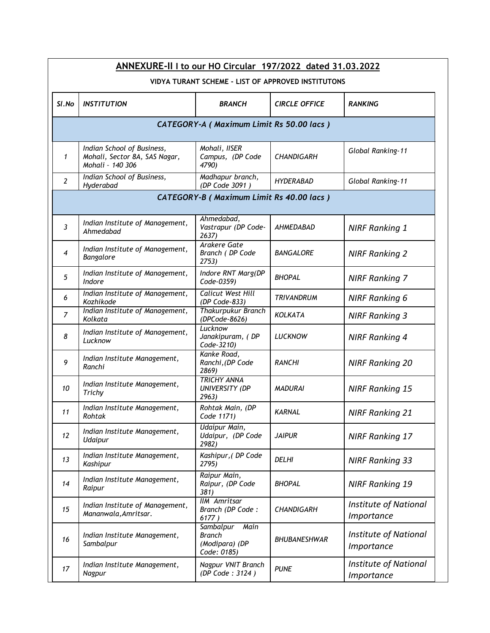|                | ANNEXURE-II I to our HO Circular 197/2022 dated 31.03.2022                      |                                                                     |                      |                                            |  |  |  |
|----------------|---------------------------------------------------------------------------------|---------------------------------------------------------------------|----------------------|--------------------------------------------|--|--|--|
|                | VIDYA TURANT SCHEME - LIST OF APPROVED INSTITUTONS                              |                                                                     |                      |                                            |  |  |  |
| SI.No          | <b>INSTITUTION</b>                                                              | <b>BRANCH</b>                                                       | <b>CIRCLE OFFICE</b> | <b>RANKING</b>                             |  |  |  |
|                | CATEGORY-A (Maximum Limit Rs 50.00 lacs)                                        |                                                                     |                      |                                            |  |  |  |
| $\mathbf{1}$   | Indian School of Business,<br>Mohali, Sector 8A, SAS Nagar,<br>Mohali - 140 306 | Mohali, IISER<br>Campus, (DP Code<br>4790)                          | <b>CHANDIGARH</b>    | Global Ranking-11                          |  |  |  |
| $\overline{2}$ | Indian School of Business,<br>Hyderabad                                         | Madhapur branch,<br>(DP Code 3091)                                  | <b>HYDERABAD</b>     | Global Ranking-11                          |  |  |  |
|                |                                                                                 | CATEGORY-B (Maximum Limit Rs 40.00 lacs)                            |                      |                                            |  |  |  |
| $\mathfrak{Z}$ | Indian Institute of Management,<br>Ahmedabad                                    | Ahmedabad,<br>Vastrapur (DP Code-<br>2637)                          | AHMEDABAD            | <b>NIRF Ranking 1</b>                      |  |  |  |
| 4              | Indian Institute of Management,<br>Bangalore                                    | Arakere Gate<br>Branch (DP Code<br>2753)                            | <b>BANGALORE</b>     | <b>NIRF Ranking 2</b>                      |  |  |  |
| 5              | Indian Institute of Management,<br>Indore                                       | Indore RNT Marg(DP<br>Code-0359)                                    | <b>BHOPAL</b>        | <b>NIRF Ranking 7</b>                      |  |  |  |
| 6              | Indian Institute of Management,<br>Kozhikode                                    | <b>Calicut West Hill</b><br>(DP Code-833)                           | <b>TRIVANDRUM</b>    | <b>NIRF Ranking 6</b>                      |  |  |  |
| $\overline{z}$ | Indian Institute of Management,<br>Kolkata                                      | <b>Thakurpukur Branch</b><br>(DPCode-8626)                          | <b>KOLKATA</b>       | <b>NIRF Ranking 3</b>                      |  |  |  |
| 8              | Indian Institute of Management,<br>Lucknow                                      | Lucknow<br>Janakipuram, (DP<br>Code-3210)                           | <b>LUCKNOW</b>       | <b>NIRF Ranking 4</b>                      |  |  |  |
| 9              | Indian Institute Management,<br>Ranchi                                          | Kanke Road,<br>Ranchi, (DP Code<br>2869)                            | <b>RANCHI</b>        | <b>NIRF Ranking 20</b>                     |  |  |  |
| 10             | Indian Institute Management,<br>Trichy                                          | <b>TRICHY ANNA</b><br>UNIVERSITY (DP<br>2963)                       | <b>MADURAI</b>       | <b>NIRF Ranking 15</b>                     |  |  |  |
| 11             | Indian Institute Management,<br>Rohtak                                          | Rohtak Main, (DP<br>Code 1171)                                      | <b>KARNAL</b>        | <b>NIRF Ranking 21</b>                     |  |  |  |
| 12             | Indian Institute Management,<br>Udaipur                                         | Udaipur Main,<br>Udaipur, (DP Code<br>2982)                         | <b>JAIPUR</b>        | <b>NIRF Ranking 17</b>                     |  |  |  |
| 13             | Indian Institute Management,<br>Kashipur                                        | Kashipur, (DP Code<br>2795)                                         | <b>DELHI</b>         | <b>NIRF Ranking 33</b>                     |  |  |  |
| 14             | Indian Institute Management,<br>Raipur                                          | Raipur Main,<br>Raipur, (DP Code<br>381)                            | <b>BHOPAL</b>        | <b>NIRF Ranking 19</b>                     |  |  |  |
| 15             | Indian Institute of Management,<br>Mananwala, Amritsar.                         | <b>IIM Amritsar</b><br>Branch (DP Code:<br>6177)                    | <b>CHANDIGARH</b>    | <b>Institute of National</b><br>Importance |  |  |  |
| 16             | Indian Institute Management,<br>Sambalpur                                       | Sambalpur<br>Main<br><b>Branch</b><br>(Modipara) (DP<br>Code: 0185) | BHUBANESHWAR         | <b>Institute of National</b><br>Importance |  |  |  |
| 17             | Indian Institute Management,<br>Nagpur                                          | Nagpur VNIT Branch<br>(DP Code: 3124)                               | <b>PUNE</b>          | <b>Institute of National</b><br>Importance |  |  |  |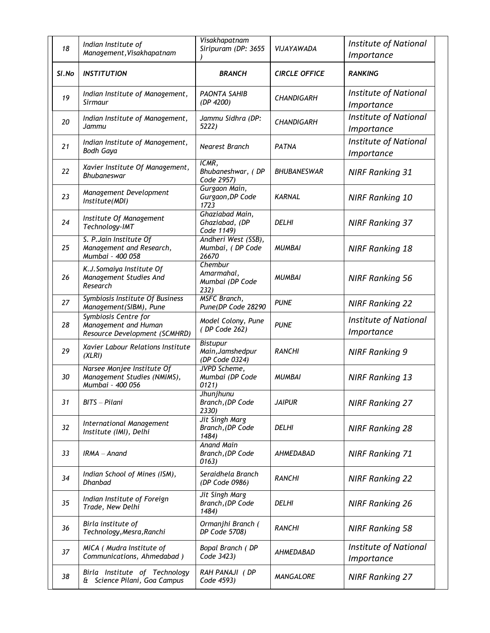| 18    | Indian Institute of<br>Management, Visakhapatnam                              | Visakhapatnam<br>Siripuram (DP: 3655                  | VIJAYAWADA           | <b>Institute of National</b><br>Importance |
|-------|-------------------------------------------------------------------------------|-------------------------------------------------------|----------------------|--------------------------------------------|
| SI.No | <b>INSTITUTION</b>                                                            | <b>BRANCH</b>                                         | <b>CIRCLE OFFICE</b> | <b>RANKING</b>                             |
| 19    | Indian Institute of Management,<br>Sirmaur                                    | <b>PAONTA SAHIB</b><br>(DP 4200)                      | <b>CHANDIGARH</b>    | <b>Institute of National</b><br>Importance |
| 20    | Indian Institute of Management,<br>Jammu                                      | Jammu Sidhra (DP:<br>5222)                            | <b>CHANDIGARH</b>    | <b>Institute of National</b><br>Importance |
| 21    | Indian Institute of Management,<br><b>Bodh Gaya</b>                           | <b>Nearest Branch</b>                                 | PATNA                | Institute of National<br>Importance        |
| 22    | Xavier Institute Of Management,<br><b>Bhubaneswar</b>                         | ICMR,<br>Bhubaneshwar, (DP<br>Code 2957)              | <b>BHUBANESWAR</b>   | <b>NIRF Ranking 31</b>                     |
| 23    | Management Development<br>Institute(MDI)                                      | Gurgaon Main,<br>Gurgaon, DP Code<br>1723             | <b>KARNAL</b>        | <b>NIRF Ranking 10</b>                     |
| 24    | Institute Of Management<br>Technology-IMT                                     | Ghaziabad Main,<br>Ghaziabad, (DP<br>Code 1149)       | <b>DELHI</b>         | <b>NIRF Ranking 37</b>                     |
| 25    | S. P. Jain Institute Of<br>Management and Research,<br>Mumbai - 400 058       | Andheri West (SSB),<br>Mumbai, (DP Code<br>26670      | <b>MUMBAI</b>        | <b>NIRF Ranking 18</b>                     |
| 26    | K.J. Somaiya Institute Of<br>Management Studies And<br>Research               | Chembur<br>Amarmahal,<br>Mumbai (DP Code<br>232)      | <b>MUMBAI</b>        | <b>NIRF Ranking 56</b>                     |
| 27    | Symbiosis Institute Of Business<br>Management(SIBM), Pune                     | <b>MSFC Branch,</b><br>Pune(DP Code 28290             | <b>PUNE</b>          | <b>NIRF Ranking 22</b>                     |
| 28    | Symbiosis Centre for<br>Management and Human<br>Resource Development (SCMHRD) | Model Colony, Pune<br>(DP Code 262)                   | <b>PUNE</b>          | Institute of National<br>Importance        |
| 29    | Xavier Labour Relations Institute<br>(XLRI)                                   | <b>Bistupur</b><br>Main, Jamshedpur<br>(DP Code 0324) | <b>RANCHI</b>        | <b>NIRF Ranking 9</b>                      |
| 30    | Narsee Monjee Institute Of<br>Management Studies (NMIMS),<br>Mumbai - 400 056 | JVPD Scheme,<br>Mumbai (DP Code<br>0121)              | <b>MUMBAI</b>        | <b>NIRF Ranking 13</b>                     |
| 31    | BITS - Pilani                                                                 | Jhunjhunu<br>Branch, (DP Code<br>2330)                | <b>JAIPUR</b>        | <b>NIRF Ranking 27</b>                     |
| 32    | International Management<br>Institute (IMI), Delhi                            | <b>Jit Singh Marg</b><br>Branch, (DP Code<br>1484)    | <b>DELHI</b>         | <b>NIRF Ranking 28</b>                     |
| 33    | $IRMA - Anand$                                                                | <b>Anand Main</b><br>Branch, (DP Code<br>0163)        | AHMEDABAD            | <b>NIRF Ranking 71</b>                     |
| 34    | Indian School of Mines (ISM),<br><b>Dhanbad</b>                               | Seraidhela Branch<br>(DP Code 0986)                   | <b>RANCHI</b>        | <b>NIRF Ranking 22</b>                     |
| 35    | Indian Institute of Foreign<br>Trade, New Delhi                               | Jit Singh Marg<br>Branch, (DP Code<br>1484)           | <b>DELHI</b>         | <b>NIRF Ranking 26</b>                     |
| 36    | Birla institute of<br>Technology, Mesra, Ranchi                               | Ormanjhi Branch (<br>DP Code 5708)                    | <b>RANCHI</b>        | <b>NIRF Ranking 58</b>                     |
| 37    | MICA ( Mudra Institute of<br>Communications, Ahmedabad)                       | Bopal Branch (DP<br>Code 3423)                        | AHMEDABAD            | Institute of National<br>Importance        |
| 38    | Birla Institute of Technology<br>& Science Pilani, Goa Campus                 | RAH PANAJI (DP<br>Code 4593)                          | MANGALORE            | <b>NIRF Ranking 27</b>                     |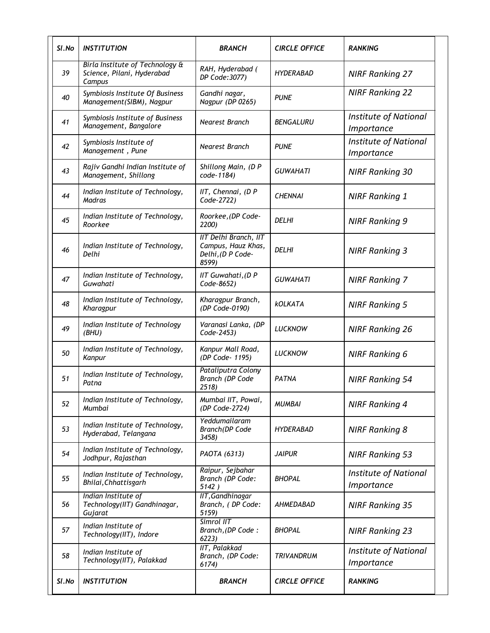| Sl.No | <i><b>INSTITUTION</b></i>                                               | <b>BRANCH</b>                                                                     | <b>CIRCLE OFFICE</b> | <b>RANKING</b>                             |
|-------|-------------------------------------------------------------------------|-----------------------------------------------------------------------------------|----------------------|--------------------------------------------|
| 39    | Birla Institute of Technology &<br>Science, Pilani, Hyderabad<br>Campus | RAH, Hyderabad (<br>DP Code:3077)                                                 | HYDERABAD            | <b>NIRF Ranking 27</b>                     |
| 40    | Symbiosis Institute Of Business<br>Management(SIBM), Nagpur             | Gandhi nagar,<br>Nagpur (DP 0265)                                                 | <b>PUNE</b>          | <b>NIRF Ranking 22</b>                     |
| 41    | Symbiosis Institute of Business<br>Management, Bangalore                | Nearest Branch                                                                    | <b>BENGALURU</b>     | <b>Institute of National</b><br>Importance |
| 42    | Symbiosis Institute of<br>Management, Pune                              | Nearest Branch                                                                    | <b>PUNE</b>          | <b>Institute of National</b><br>Importance |
| 43    | Rajiv Gandhi Indian Institute of<br>Management, Shillong                | Shillong Main, (D P<br>code-1184)                                                 | <b>GUWAHATI</b>      | <b>NIRF Ranking 30</b>                     |
| 44    | Indian Institute of Technology,<br><b>Madras</b>                        | $IIT$ , Chennai, (D P<br>Code-2722)                                               | <b>CHENNAI</b>       | <b>NIRF Ranking 1</b>                      |
| 45    | Indian Institute of Technology,<br>Roorkee                              | Roorkee, (DP Code-<br>2200)                                                       | <b>DELHI</b>         | <b>NIRF Ranking 9</b>                      |
| 46    | Indian Institute of Technology,<br>Delhi                                | <b>IIT Delhi Branch</b> , IIT<br>Campus, Hauz Khas,<br>Delhi, (D P Code-<br>8599) | <b>DELHI</b>         | <b>NIRF Ranking 3</b>                      |
| 47    | Indian Institute of Technology,<br>Guwahati                             | IIT Guwahati, (D P<br>Code-8652)                                                  | <b>GUWAHATI</b>      | <b>NIRF Ranking 7</b>                      |
| 48    | Indian Institute of Technology,<br>Kharagpur                            | Kharagpur Branch,<br>(DP Code-0190)                                               | <b>KOLKATA</b>       | <b>NIRF Ranking 5</b>                      |
| 49    | Indian Institute of Technology<br>(BHU)                                 | Varanasi Lanka, (DP<br>Code-2453)                                                 | <b>LUCKNOW</b>       | <b>NIRF Ranking 26</b>                     |
| 50    | Indian Institute of Technology,<br>Kanpur                               | Kanpur Mall Road,<br>(DP Code- 1195)                                              | <b>LUCKNOW</b>       | <b>NIRF Ranking 6</b>                      |
| 51    | Indian Institute of Technology,<br>Patna                                | Pataliputra Colony<br>Branch (DP Code<br>2518                                     | <b>PATNA</b>         | <b>NIRF Ranking 54</b>                     |
| 52    | Indian Institute of Technology,<br>Mumbai                               | Mumbai IIT, Powai,<br>(DP Code-2724)                                              | <b>MUMBAI</b>        | <b>NIRF Ranking 4</b>                      |
| 53    | Indian Institute of Technology,<br>Hyderabad, Telangana                 | Yeddumailaram<br>Branch(DP Code<br>3458)                                          | <b>HYDERABAD</b>     | <b>NIRF Ranking 8</b>                      |
| 54    | Indian Institute of Technology,<br>Jodhpur, Rajasthan                   | PAOTA (6313)                                                                      | <b>JAIPUR</b>        | <b>NIRF Ranking 53</b>                     |
| 55    | Indian Institute of Technology,<br>Bhilai, Chhattisgarh                 | Raipur, Sejbahar<br>Branch (DP Code:<br>5142)                                     | <b>BHOPAL</b>        | <b>Institute of National</b><br>Importance |
| 56    | Indian Institute of<br>Technology(IIT) Gandhinagar,<br>Gujarat          | IIT, Gandhinagar<br>Branch, (DP Code:<br>5159)                                    | AHMEDABAD            | <b>NIRF Ranking 35</b>                     |
| 57    | Indian Institute of<br>Technology(IIT), Indore                          | Simrol IIT<br>Branch, (DP Code:<br>6223)                                          | <b>BHOPAL</b>        | <b>NIRF Ranking 23</b>                     |
| 58    | Indian Institute of<br>Technology(IIT), Palakkad                        | <b>IIT, Palakkad</b><br>Branch, (DP Code:<br>6174)                                | <b>TRIVANDRUM</b>    | <b>Institute of National</b><br>Importance |
| SI.No | <b>INSTITUTION</b>                                                      | <b>BRANCH</b>                                                                     | <b>CIRCLE OFFICE</b> | <b>RANKING</b>                             |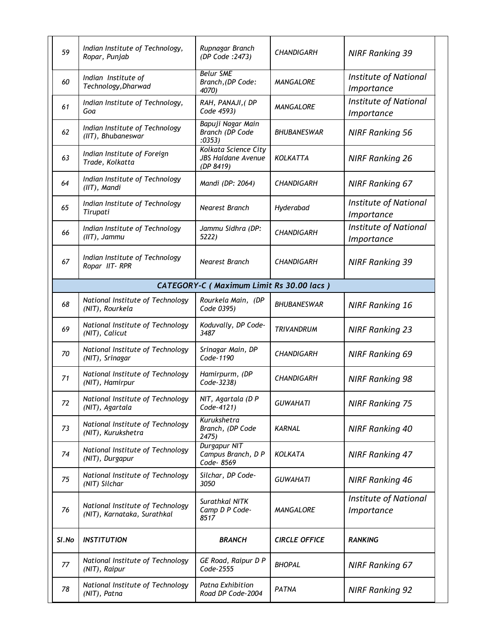| 59    | Indian Institute of Technology,<br>Ropar, Punjab                | Rupnagar Branch<br>(DP Code : 2473)                            | <b>CHANDIGARH</b>    | <b>NIRF Ranking 39</b>                     |
|-------|-----------------------------------------------------------------|----------------------------------------------------------------|----------------------|--------------------------------------------|
| 60    | Indian Institute of<br>Technology, Dharwad                      | <b>Belur SME</b><br>Branch, (DP Code:<br>4070)                 | <b>MANGALORE</b>     | <b>Institute of National</b><br>Importance |
| 61    | Indian Institute of Technology,<br>Goa                          | RAH, PANAJI, (DP<br>Code 4593)                                 | <b>MANGALORE</b>     | <b>Institute of National</b><br>Importance |
| 62    | Indian Institute of Technology<br>(IIT), Bhubaneswar            | Bapuji Nagar Main<br>Branch (DP Code<br>:0353)                 | <b>BHUBANESWAR</b>   | <b>NIRF Ranking 56</b>                     |
| 63    | Indian Institute of Foreign<br>Trade, Kolkatta                  | Kolkata Science City<br><b>JBS Haldane Avenue</b><br>(DP 8419) | KOLKATTA             | <b>NIRF Ranking 26</b>                     |
| 64    | Indian Institute of Technology<br>(IIT), Mandi                  | Mandi (DP: 2064)                                               | <b>CHANDIGARH</b>    | <b>NIRF Ranking 67</b>                     |
| 65    | Indian Institute of Technology<br>Tirupati                      | <b>Nearest Branch</b>                                          | Hyderabad            | <b>Institute of National</b><br>Importance |
| 66    | Indian Institute of Technology<br>(IIT), Jammu                  | Jammu Sidhra (DP:<br>5222)                                     | <b>CHANDIGARH</b>    | <b>Institute of National</b><br>Importance |
| 67    | Indian Institute of Technology<br>Ropar IIT-RPR                 | <b>Nearest Branch</b>                                          | <b>CHANDIGARH</b>    | <b>NIRF Ranking 39</b>                     |
|       |                                                                 | CATEGORY-C (Maximum Limit Rs 30.00 lacs)                       |                      |                                            |
| 68    | National Institute of Technology<br>(NIT), Rourkela             | Rourkela Main, (DP<br>Code 0395)                               | <b>BHUBANESWAR</b>   | <b>NIRF Ranking 16</b>                     |
| 69    | National Institute of Technology<br>(NIT), Calicut              | Koduvally, DP Code-<br>3487                                    | <b>TRIVANDRUM</b>    | <b>NIRF Ranking 23</b>                     |
| 70    | National Institute of Technology<br>(NIT), Srinagar             | Srinagar Main, DP<br>Code-1190                                 | <b>CHANDIGARH</b>    | <b>NIRF Ranking 69</b>                     |
| 71    | National Institute of Technology<br>(NIT), Hamirpur             | Hamirpurm, (DP<br>Code-3238)                                   | <b>CHANDIGARH</b>    | <b>NIRF Ranking 98</b>                     |
| 72    | National Institute of Technology<br>(NIT), Agartala             | NIT, Agartala (DP<br>Code-4121)                                | <b>GUWAHATI</b>      | <b>NIRF Ranking 75</b>                     |
| 73    | National Institute of Technology<br>(NIT), Kurukshetra          | Kurukshetra<br>Branch, (DP Code<br>2475)                       | <b>KARNAL</b>        | <b>NIRF Ranking 40</b>                     |
| 74    | National Institute of Technology<br>(NIT), Durgapur             | <b>Durgapur NIT</b><br>Campus Branch, D P<br>Code-8569         | <b>KOLKATA</b>       | <b>NIRF Ranking 47</b>                     |
| 75    | National Institute of Technology<br>(NIT) Silchar               | Silchar, DP Code-<br>3050                                      | <b>GUWAHATI</b>      | <b>NIRF Ranking 46</b>                     |
| 76    | National Institute of Technology<br>(NIT), Karnataka, Surathkal | Surathkal NITK<br>Camp D P Code-<br>8517                       | MANGALORE            | Institute of National<br>Importance        |
| SI.No | <b>INSTITUTION</b>                                              | <b>BRANCH</b>                                                  | <b>CIRCLE OFFICE</b> | <b>RANKING</b>                             |
| 77    | National Institute of Technology<br>(NIT), Raipur               | GE Road, Raipur D P<br>Code-2555                               | <b>BHOPAL</b>        | <b>NIRF Ranking 67</b>                     |
| 78    | National Institute of Technology<br>(NIT), Patna                | Patna Exhibition<br>Road DP Code-2004                          | <b>PATNA</b>         | <b>NIRF Ranking 92</b>                     |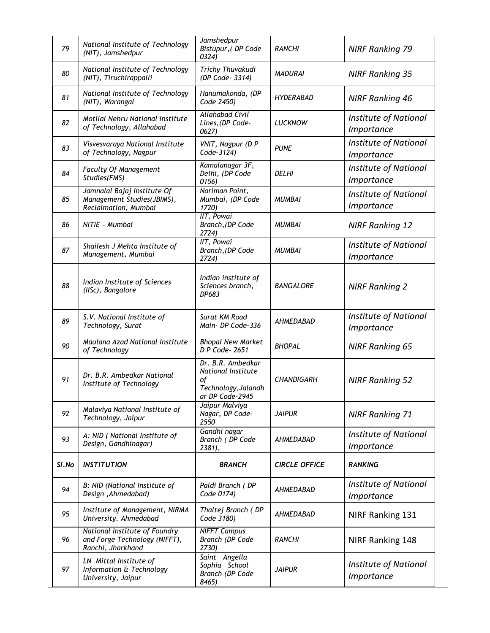| 79    | National Institute of Technology<br>(NIT), Jamshedpur                               | Jamshedpur<br>Bistupur, (DP Code<br>0324)                                               | <b>RANCHI</b>        | <b>NIRF Ranking 79</b>                     |
|-------|-------------------------------------------------------------------------------------|-----------------------------------------------------------------------------------------|----------------------|--------------------------------------------|
| 80    | National Institute of Technology<br>(NIT), Tiruchirappalli                          | Trichy Thuvakudi<br>(DP Code- 3314)                                                     | <b>MADURAI</b>       | <b>NIRF Ranking 35</b>                     |
| 81    | National Institute of Technology<br>(NIT), Warangal                                 | Hanumakonda, (DP<br>Code 2450)                                                          | <b>HYDERABAD</b>     | <b>NIRF Ranking 46</b>                     |
| 82    | Motilal Nehru National Institute<br>of Technology, Allahabad                        | <b>Allahabad Civil</b><br>Lines, (DP Code-<br>0627)                                     | <b>LUCKNOW</b>       | <b>Institute of National</b><br>Importance |
| 83    | Visvesvaraya National Institute<br>of Technology, Nagpur                            | VNIT, Nagpur (D P<br>Code-3124)                                                         | <b>PUNE</b>          | <b>Institute of National</b><br>Importance |
| 84    | Faculty Of Management<br>Studies(FMS)                                               | Kamalanagar 3F,<br>Delhi, (DP Code<br>0156)                                             | <b>DELHI</b>         | <b>Institute of National</b><br>Importance |
| 85    | Jamnalal Bajaj Institute Of<br>Management Studies(JBIMS),<br>Reclaimation, Mumbai   | Nariman Point,<br>Mumbai, (DP Code<br>1720)                                             | <b>MUMBAI</b>        | <b>Institute of National</b><br>Importance |
| 86    | $NITE - Mumbai$                                                                     | IIT, Powai<br>Branch, (DP Code<br>2724)                                                 | <b>MUMBAI</b>        | <b>NIRF Ranking 12</b>                     |
| 87    | Shailesh J Mehta Institute of<br>Management, Mumbai                                 | IIT, Powai<br>Branch, (DP Code<br>2724)                                                 | <b>MUMBAI</b>        | <b>Institute of National</b><br>Importance |
| 88    | Indian Institute of Sciences<br>(IISc), Bangalore                                   | Indian institute of<br>Sciences branch,<br>DP683                                        | <b>BANGALORE</b>     | <b>NIRF Ranking 2</b>                      |
| 89    | S.V. National Institute of<br>Technology, Surat                                     | Surat KM Road<br>Main- DP Code-336                                                      | <b>AHMEDABAD</b>     | <b>Institute of National</b><br>Importance |
| 90    | Maulana Azad National Institute<br>of Technology                                    | <b>Bhopal New Market</b><br>D P Code-2651                                               | <b>BHOPAL</b>        | <b>NIRF Ranking 65</b>                     |
| 91    | Dr. B.R. Ambedkar National<br>Institute of Technology                               | Dr. B.R. Ambedkar<br>National Institute<br>of<br>Technology, Jalandh<br>ar DP Code-2945 | <b>CHANDIGARH</b>    | <b>NIRF Ranking 52</b>                     |
| 92    | Malaviya National Institute of<br>Technology, Jaipur                                | Jaipur Malviya<br>Nagar, DP Code-<br>2550                                               | <b>JAIPUR</b>        | <b>NIRF Ranking 71</b>                     |
| 93    | A: NID ( National Institute of<br>Design, Gandhinagar)                              | Gandhi nagar<br>Branch (DP Code<br>2381),                                               | AHMEDABAD            | <b>Institute of National</b><br>Importance |
| SI.No | <b>INSTITUTION</b>                                                                  | <b>BRANCH</b>                                                                           | <b>CIRCLE OFFICE</b> | <b>RANKING</b>                             |
| 94    | B: NID (National Institute of<br>Design, Ahmedabad)                                 | Paldi Branch (DP<br>Code 0174)                                                          | <b>AHMEDABAD</b>     | <b>Institute of National</b><br>Importance |
| 95    | Institute of Management, NIRMA<br>University. Ahmedabad                             | Thaltej Branch (DP<br>Code 3180)                                                        | <b>AHMEDABAD</b>     | NIRF Ranking 131                           |
| 96    | National Institute of Foundry<br>and Forge Technology (NIFFT),<br>Ranchi, Jharkhand | <b>NIFFT Campus</b><br>Branch (DP Code<br>2730)                                         | <b>RANCHI</b>        | NIRF Ranking 148                           |
| 97    | LN Mittal Institute of<br>Information & Technology<br>University, Jaipur            | Saint Angella<br>Sophia School<br>Branch (DP Code<br>8465)                              | <b>JAIPUR</b>        | <b>Institute of National</b><br>Importance |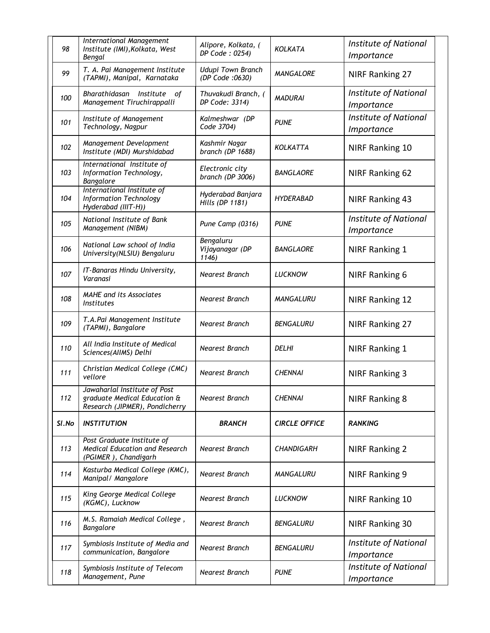| 98    | International Management<br>Institute (IMI), Kolkata, West<br>Bengal                           | Alipore, Kolkata, (<br>DP Code: 0254)       | <b>KOLKATA</b>       | <b>Institute of National</b><br>Importance |
|-------|------------------------------------------------------------------------------------------------|---------------------------------------------|----------------------|--------------------------------------------|
| 99    | T. A. Pai Management Institute<br>(TAPMI), Manipal, Karnataka                                  | <b>Udupi Town Branch</b><br>(DP Code: 0630) | <b>MANGALORE</b>     | NIRF Ranking 27                            |
| 100   | Bharathidasan<br>Institute<br>оf<br>Management Tiruchirappalli                                 | Thuvakudi Branch, (<br>DP Code: 3314)       | <b>MADURAI</b>       | <b>Institute of National</b><br>Importance |
| 101   | Institute of Management<br>Technology, Nagpur                                                  | Kalmeshwar (DP<br>Code 3704)                | <b>PUNE</b>          | <b>Institute of National</b><br>Importance |
| 102   | Management Development<br>Institute (MDI) Murshidabad                                          | Kashmir Nagar<br>branch (DP 1688)           | KOLKATTA             | <b>NIRF Ranking 10</b>                     |
| 103   | International Institute of<br>Information Technology,<br>Bangalore                             | Electronic city<br>branch (DP 3006)         | <b>BANGLAORE</b>     | <b>NIRF Ranking 62</b>                     |
| 104   | International Institute of<br><b>Information Technology</b><br>Hyderabad (IIIT-H))             | Hyderabad Banjara<br>Hills (DP 1181)        | <b>HYDERABAD</b>     | <b>NIRF Ranking 43</b>                     |
| 105   | National Institute of Bank<br>Management (NIBM)                                                | Pune Camp (0316)                            | <b>PUNE</b>          | <b>Institute of National</b><br>Importance |
| 106   | National Law school of India<br>University(NLSIU) Bengaluru                                    | Bengaluru<br>Vijayanagar (DP<br>1146)       | <b>BANGLAORE</b>     | NIRF Ranking 1                             |
| 107   | IT-Banaras Hindu University,<br>Varanasi                                                       | <b>Nearest Branch</b>                       | <b>LUCKNOW</b>       | <b>NIRF Ranking 6</b>                      |
| 108   | <b>MAHE</b> and its Associates<br><b>Institutes</b>                                            | <b>Nearest Branch</b>                       | MANGALURU            | <b>NIRF Ranking 12</b>                     |
| 109   | T.A.Pai Management Institute<br>(TAPMI), Bangalore                                             | <b>Nearest Branch</b>                       | <b>BENGALURU</b>     | <b>NIRF Ranking 27</b>                     |
| 110   | All India Institute of Medical<br>Sciences(AllMS) Delhi                                        | <b>Nearest Branch</b>                       | <b>DELHI</b>         | NIRF Ranking 1                             |
| 111   | Christian Medical College (CMC)<br>vellore                                                     | <b>Nearest Branch</b>                       | <b>CHENNAI</b>       | <b>NIRF Ranking 3</b>                      |
| 112   | Jawaharlal Institute of Post<br>graduate Medical Education &<br>Research (JIPMER), Pondicherry | Nearest Branch                              | <b>CHENNAI</b>       | <b>NIRF Ranking 8</b>                      |
| SI.No | <b>INSTITUTION</b>                                                                             | <b>BRANCH</b>                               | <b>CIRCLE OFFICE</b> | <b>RANKING</b>                             |
| 113   | Post Graduate Institute of<br><b>Medical Education and Research</b><br>(PGIMER), Chandigarh    | Nearest Branch                              | <b>CHANDIGARH</b>    | <b>NIRF Ranking 2</b>                      |
| 114   | Kasturba Medical College (KMC),<br>Manipal/ Mangalore                                          | Nearest Branch                              | MANGALURU            | NIRF Ranking 9                             |
| 115   | King George Medical College<br>(KGMC), Lucknow                                                 | Nearest Branch                              | <b>LUCKNOW</b>       | NIRF Ranking 10                            |
| 116   | M.S. Ramaiah Medical College,<br>Bangalore                                                     | Nearest Branch                              | <b>BENGALURU</b>     | <b>NIRF Ranking 30</b>                     |
| 117   | Symbiosis Institute of Media and<br>communication, Bangalore                                   | Nearest Branch                              | BENGALURU            | Institute of National<br>Importance        |
| 118   | Symbiosis Institute of Telecom<br>Management, Pune                                             | Nearest Branch                              | <b>PUNE</b>          | Institute of National<br><i>Importance</i> |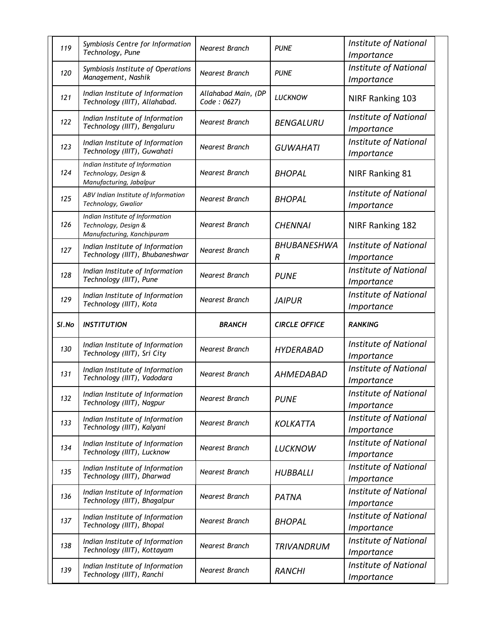| 119   | Symbiosis Centre for Information<br>Technology, Pune                                  | <b>Nearest Branch</b>              | <b>PUNE</b>             | <b>Institute of National</b><br>Importance        |
|-------|---------------------------------------------------------------------------------------|------------------------------------|-------------------------|---------------------------------------------------|
| 120   | Symbiosis Institute of Operations<br>Management, Nashik                               | <b>Nearest Branch</b>              | <b>PUNE</b>             | <b>Institute of National</b><br>Importance        |
| 121   | Indian Institute of Information<br>Technology (IIIT), Allahabad.                      | Allahabad Main, (DP<br>Code: 0627) | <b>LUCKNOW</b>          | NIRF Ranking 103                                  |
| 122   | Indian Institute of Information<br>Technology (IIIT), Bengaluru                       | <b>Nearest Branch</b>              | <b>BENGALURU</b>        | <b>Institute of National</b><br>Importance        |
| 123   | Indian Institute of Information<br>Technology (IIIT), Guwahati                        | <b>Nearest Branch</b>              | <b>GUWAHATI</b>         | <b>Institute of National</b><br>Importance        |
| 124   | Indian Institute of Information<br>Technology, Design &<br>Manufacturing, Jabalpur    | <b>Nearest Branch</b>              | <b>BHOPAL</b>           | <b>NIRF Ranking 81</b>                            |
| 125   | ABV Indian Institute of Information<br>Technology, Gwalior                            | <b>Nearest Branch</b>              | <b>BHOPAL</b>           | <b>Institute of National</b><br><i>Importance</i> |
| 126   | Indian Institute of Information<br>Technology, Design &<br>Manufacturing, Kanchipuram | <b>Nearest Branch</b>              | <b>CHENNAI</b>          | NIRF Ranking 182                                  |
| 127   | Indian Institute of Information<br>Technology (IIIT), Bhubaneshwar                    | Nearest Branch                     | <b>BHUBANESHWA</b><br>R | <b>Institute of National</b><br>Importance        |
| 128   | Indian Institute of Information<br>Technology (IIIT), Pune                            | <b>Nearest Branch</b>              | <b>PUNE</b>             | <b>Institute of National</b><br>Importance        |
| 129   | Indian Institute of Information<br>Technology (IIIT), Kota                            | Nearest Branch                     | <b>JAIPUR</b>           | <b>Institute of National</b><br>Importance        |
|       |                                                                                       |                                    |                         |                                                   |
| SI.No | <b>INSTITUTION</b>                                                                    | <b>BRANCH</b>                      | <b>CIRCLE OFFICE</b>    | <b>RANKING</b>                                    |
| 130   | Indian Institute of Information<br>Technology (IIIT), Sri City                        | Nearest Branch                     | <b>HYDERABAD</b>        | <b>Institute of National</b><br>Importance        |
| 131   | Indian Institute of Information<br>Technology (IIIT), Vadodara                        | <b>Nearest Branch</b>              | <b>AHMEDABAD</b>        | <b>Institute of National</b><br>Importance        |
| 132   | Indian Institute of Information<br>Technology (IIIT), Nagpur                          | Nearest Branch                     | <b>PUNE</b>             | <b>Institute of National</b><br>Importance        |
| 133   | Indian Institute of Information<br>Technology (IIIT), Kalyani                         | Nearest Branch                     | <b>KOLKATTA</b>         | <b>Institute of National</b><br>Importance        |
| 134   | Indian Institute of Information<br>Technology (IIIT), Lucknow                         | Nearest Branch                     | <b>LUCKNOW</b>          | <b>Institute of National</b><br>Importance        |
| 135   | Indian Institute of Information<br>Technology (IIIT), Dharwad                         | Nearest Branch                     | <b>HUBBALLI</b>         | Institute of National<br>Importance               |
| 136   | Indian Institute of Information<br>Technology (IIIT), Bhagalpur                       | Nearest Branch                     | PATNA                   | <b>Institute of National</b><br>Importance        |
| 137   | Indian Institute of Information<br>Technology (IIIT), Bhopal                          | Nearest Branch                     | <b>BHOPAL</b>           | <b>Institute of National</b><br><i>Importance</i> |
| 138   | Indian Institute of Information<br>Technology (IIIT), Kottayam                        | Nearest Branch                     | TRIVANDRUM              | <b>Institute of National</b><br>Importance        |